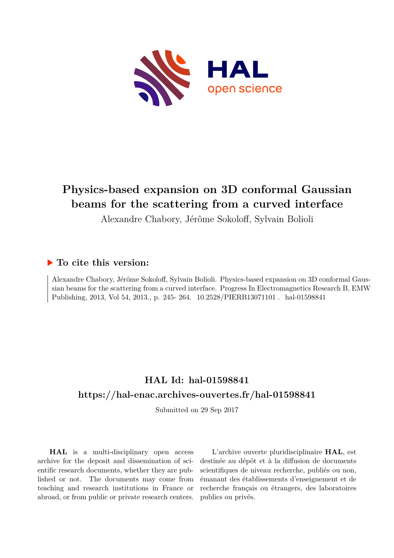

# **Physics-based expansion on 3D conformal Gaussian beams for the scattering from a curved interface**

Alexandre Chabory, Jérôme Sokoloff, Sylvain Bolioli

# **To cite this version:**

Alexandre Chabory, Jérôme Sokoloff, Sylvain Bolioli. Physics-based expansion on 3D conformal Gaussian beams for the scattering from a curved interface. Progress In Electromagnetics Research B, EMW Publishing, 2013, Vol 54, 2013., p. 245- 264.  $10.2528/PIERB13071101$ . hal-01598841

# **HAL Id: hal-01598841 <https://hal-enac.archives-ouvertes.fr/hal-01598841>**

Submitted on 29 Sep 2017

**HAL** is a multi-disciplinary open access archive for the deposit and dissemination of scientific research documents, whether they are published or not. The documents may come from teaching and research institutions in France or abroad, or from public or private research centers.

L'archive ouverte pluridisciplinaire **HAL**, est destinée au dépôt et à la diffusion de documents scientifiques de niveau recherche, publiés ou non, émanant des établissements d'enseignement et de recherche français ou étrangers, des laboratoires publics ou privés.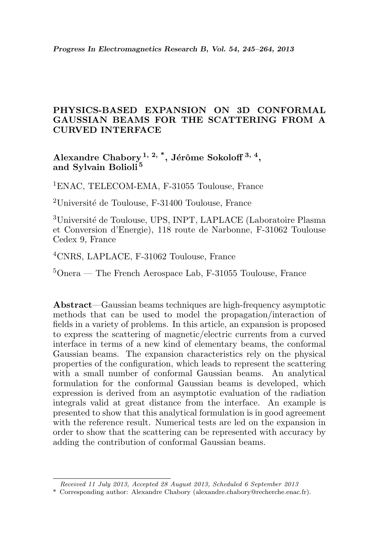# PHYSICS-BASED EXPANSION ON 3D CONFORMAL GAUSSIAN BEAMS FOR THE SCATTERING FROM A CURVED INTERFACE

Alexandre Chabory  $^{1,\ 2,\ 3}$ , Jérôme Sokoloff  $^{3,\ 4},$ and Sylvain Bolioli <sup>5</sup>

<sup>1</sup>ENAC, TELECOM-EMA, F-31055 Toulouse, France

<sup>2</sup>Université de Toulouse, F-31400 Toulouse, France

<sup>3</sup>Université de Toulouse, UPS, INPT, LAPLACE (Laboratoire Plasma) et Conversion d'Energie), 118 route de Narbonne, F-31062 Toulouse Cedex 9, France

<sup>4</sup>CNRS, LAPLACE, F-31062 Toulouse, France

 $5$ Onera — The French Aerospace Lab, F-31055 Toulouse, France

Abstract—Gaussian beams techniques are high-frequency asymptotic methods that can be used to model the propagation/interaction of fields in a variety of problems. In this article, an expansion is proposed to express the scattering of magnetic/electric currents from a curved interface in terms of a new kind of elementary beams, the conformal Gaussian beams. The expansion characteristics rely on the physical properties of the configuration, which leads to represent the scattering with a small number of conformal Gaussian beams. An analytical formulation for the conformal Gaussian beams is developed, which expression is derived from an asymptotic evaluation of the radiation integrals valid at great distance from the interface. An example is presented to show that this analytical formulation is in good agreement with the reference result. Numerical tests are led on the expansion in order to show that the scattering can be represented with accuracy by adding the contribution of conformal Gaussian beams.

Received 11 July 2013, Accepted 28 August 2013, Scheduled 6 September 2013

<sup>\*</sup> Corresponding author: Alexandre Chabory (alexandre.chabory@recherche.enac.fr).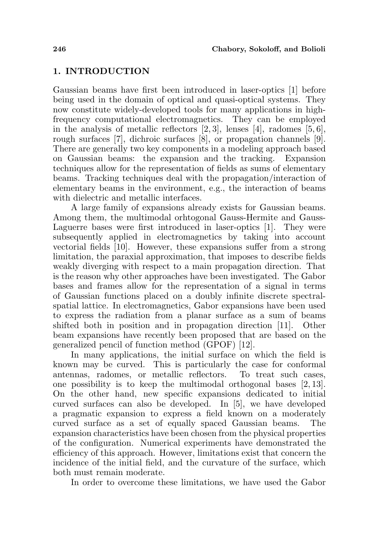# 1. INTRODUCTION

Gaussian beams have first been introduced in laser-optics [1] before being used in the domain of optical and quasi-optical systems. They now constitute widely-developed tools for many applications in highfrequency computational electromagnetics. They can be employed in the analysis of metallic reflectors  $[2, 3]$ , lenses  $[4]$ , radomes  $[5, 6]$ , rough surfaces [7], dichroic surfaces [8], or propagation channels [9]. There are generally two key components in a modeling approach based on Gaussian beams: the expansion and the tracking. Expansion techniques allow for the representation of fields as sums of elementary beams. Tracking techniques deal with the propagation/interaction of elementary beams in the environment, e.g., the interaction of beams with dielectric and metallic interfaces.

A large family of expansions already exists for Gaussian beams. Among them, the multimodal orhtogonal Gauss-Hermite and Gauss-Laguerre bases were first introduced in laser-optics [1]. They were subsequently applied in electromagnetics by taking into account vectorial fields [10]. However, these expansions suffer from a strong limitation, the paraxial approximation, that imposes to describe fields weakly diverging with respect to a main propagation direction. That is the reason why other approaches have been investigated. The Gabor bases and frames allow for the representation of a signal in terms of Gaussian functions placed on a doubly infinite discrete spectralspatial lattice. In electromagnetics, Gabor expansions have been used to express the radiation from a planar surface as a sum of beams shifted both in position and in propagation direction [11]. Other beam expansions have recently been proposed that are based on the generalized pencil of function method (GPOF) [12].

In many applications, the initial surface on which the field is known may be curved. This is particularly the case for conformal antennas, radomes, or metallic reflectors. To treat such cases, one possibility is to keep the multimodal orthogonal bases  $[2, 13]$ . On the other hand, new specific expansions dedicated to initial curved surfaces can also be developed. In [5], we have developed a pragmatic expansion to express a field known on a moderately curved surface as a set of equally spaced Gaussian beams. The expansion characteristics have been chosen from the physical properties of the configuration. Numerical experiments have demonstrated the efficiency of this approach. However, limitations exist that concern the incidence of the initial field, and the curvature of the surface, which both must remain moderate.

In order to overcome these limitations, we have used the Gabor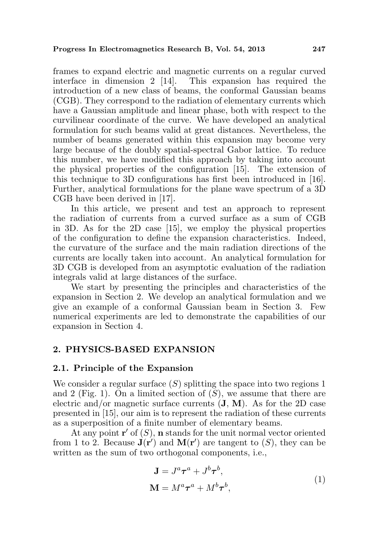frames to expand electric and magnetic currents on a regular curved interface in dimension 2 [14]. This expansion has required the introduction of a new class of beams, the conformal Gaussian beams (CGB). They correspond to the radiation of elementary currents which have a Gaussian amplitude and linear phase, both with respect to the curvilinear coordinate of the curve. We have developed an analytical formulation for such beams valid at great distances. Nevertheless, the number of beams generated within this expansion may become very large because of the doubly spatial-spectral Gabor lattice. To reduce this number, we have modified this approach by taking into account the physical properties of the configuration [15]. The extension of this technique to 3D configurations has first been introduced in [16]. Further, analytical formulations for the plane wave spectrum of a 3D CGB have been derived in [17].

In this article, we present and test an approach to represent the radiation of currents from a curved surface as a sum of CGB in 3D. As for the 2D case [15], we employ the physical properties of the configuration to define the expansion characteristics. Indeed, the curvature of the surface and the main radiation directions of the currents are locally taken into account. An analytical formulation for 3D CGB is developed from an asymptotic evaluation of the radiation integrals valid at large distances of the surface.

We start by presenting the principles and characteristics of the expansion in Section 2. We develop an analytical formulation and we give an example of a conformal Gaussian beam in Section 3. Few numerical experiments are led to demonstrate the capabilities of our expansion in Section 4.

#### 2. PHYSICS-BASED EXPANSION

#### 2.1. Principle of the Expansion

We consider a regular surface  $(S)$  splitting the space into two regions 1 and 2 (Fig. 1). On a limited section of  $(S)$ , we assume that there are electric and/or magnetic surface currents  $({\bf J}, {\bf M})$ . As for the 2D case presented in [15], our aim is to represent the radiation of these currents as a superposition of a finite number of elementary beams.

At any point  $\mathbf{r}'$  of  $(S)$ , **n** stands for the unit normal vector oriented from 1 to 2. Because  $\mathbf{J}(\mathbf{r}')$  and  $\mathbf{M}(\mathbf{r}')$  are tangent to  $(S)$ , they can be written as the sum of two orthogonal components, i.e.,

$$
\mathbf{J} = J^a \boldsymbol{\tau}^a + J^b \boldsymbol{\tau}^b,
$$
  

$$
\mathbf{M} = M^a \boldsymbol{\tau}^a + M^b \boldsymbol{\tau}^b,
$$
 (1)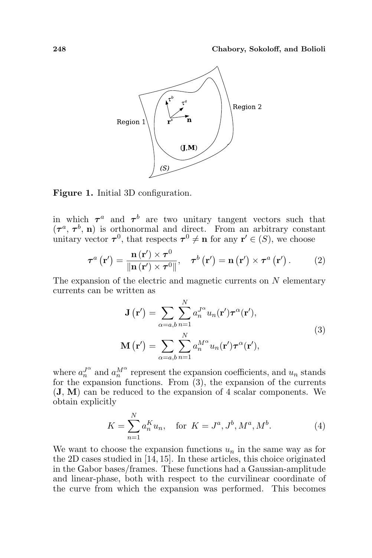

Figure 1. Initial 3D configuration.

in which  $\tau^a$  and  $\tau^b$  are two unitary tangent vectors such that  $(\tau^a, \tau^b, n)$  is orthonormal and direct. From an arbitrary constant unitary vector  $\tau^0$ , that respects  $\tau^0 \neq n$  for any  $r' \in (S)$ , we choose

$$
\boldsymbol{\tau}^{a}\left(\mathbf{r}'\right)=\frac{\mathbf{n}\left(\mathbf{r}'\right)\times\boldsymbol{\tau}^{0}}{\left\Vert \mathbf{n}\left(\mathbf{r}'\right)\times\boldsymbol{\tau}^{0}\right\Vert },\quad \boldsymbol{\tau}^{b}\left(\mathbf{r}'\right)=\mathbf{n}\left(\mathbf{r}'\right)\times\boldsymbol{\tau}^{a}\left(\mathbf{r}'\right). \tag{2}
$$

The expansion of the electric and magnetic currents on  $N$  elementary currents can be written as

$$
\mathbf{J}(\mathbf{r}') = \sum_{\alpha=a,b} \sum_{n=1}^{N} a_n^{J^{\alpha}} u_n(\mathbf{r}') \boldsymbol{\tau}^{\alpha}(\mathbf{r}'),
$$
  

$$
\mathbf{M}(\mathbf{r}') = \sum_{\alpha=a,b} \sum_{n=1}^{N} a_n^{M^{\alpha}} u_n(\mathbf{r}') \boldsymbol{\tau}^{\alpha}(\mathbf{r}'),
$$
 (3)

where  $a_n^{J^{\alpha}}$  and  $a_n^{M^{\alpha}}$  represent the expansion coefficients, and  $u_n$  stands for the expansion functions. From (3), the expansion of the currents (J, M) can be reduced to the expansion of 4 scalar components. We obtain explicitly

$$
K = \sum_{n=1}^{N} a_n^K u_n, \quad \text{for } K = J^a, J^b, M^a, M^b.
$$
 (4)

We want to choose the expansion functions  $u_n$  in the same way as for the 2D cases studied in [14, 15]. In these articles, this choice originated in the Gabor bases/frames. These functions had a Gaussian-amplitude and linear-phase, both with respect to the curvilinear coordinate of the curve from which the expansion was performed. This becomes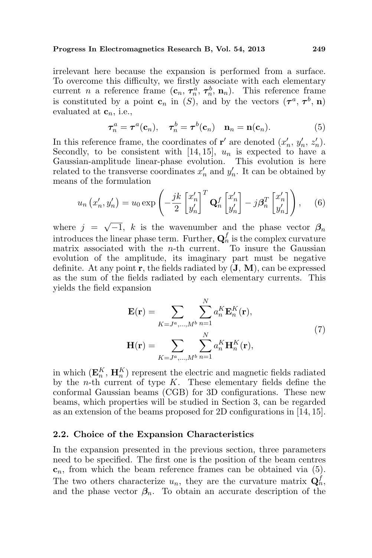irrelevant here because the expansion is performed from a surface. To overcome this difficulty, we firstly associate with each elementary current *n* a reference frame  $(c_n, \tau_n^{\alpha}, \tau_n^b, n_n)$ . This reference frame is constituted by a point  $\mathbf{c}_n$  in  $(S)$ , and by the vectors  $(\tau^a, \tau^b, \mathbf{n})$ evaluated at  $\mathbf{c}_n$ , i.e.,

$$
\boldsymbol{\tau}_n^a = \boldsymbol{\tau}^a(\mathbf{c}_n), \quad \boldsymbol{\tau}_n^b = \boldsymbol{\tau}^b(\mathbf{c}_n) \quad \mathbf{n}_n = \mathbf{n}(\mathbf{c}_n). \tag{5}
$$

In this reference frame, the coordinates of **r'** are denoted  $(x'_n, y'_n, z'_n)$ . Secondly, to be consistent with [14, 15],  $u_n$  is expected to have a Gaussian-amplitude linear-phase evolution. This evolution is here related to the transverse coordinates  $x'_n$  and  $y'_n$ . It can be obtained by means of the formulation

$$
u_n(x'_n, y'_n) = u_0 \exp\left(-\frac{jk}{2} \begin{bmatrix} x'_n \\ y'_n \end{bmatrix}^T \mathbf{Q}_n^f \begin{bmatrix} x'_n \\ y'_n \end{bmatrix} - j\beta_n^T \begin{bmatrix} x'_n \\ y'_n \end{bmatrix}\right), \quad (6)
$$

where  $j =$  $\overline{-1}$ , k is the wavenumber and the phase vector  $\beta_n$ introduces the linear phase term. Further,  $\mathbf{Q}_n^f$  is the complex curvature matrix associated with the  $n$ -th current. To insure the Gaussian evolution of the amplitude, its imaginary part must be negative definite. At any point  $\mathbf r$ , the fields radiated by  $(\mathbf J, \mathbf M)$ , can be expressed as the sum of the fields radiated by each elementary currents. This yields the field expansion

$$
\mathbf{E}(\mathbf{r}) = \sum_{K=J^a,\dots,M^b} \sum_{n=1}^N a_n^K \mathbf{E}_n^K(\mathbf{r}),
$$
  

$$
\mathbf{H}(\mathbf{r}) = \sum_{K=J^a,\dots,M^b} \sum_{n=1}^N a_n^K \mathbf{H}_n^K(\mathbf{r}),
$$
 (7)

in which  $(\mathbf{E}_n^K, \mathbf{H}_n^K)$  represent the electric and magnetic fields radiated by the *n*-th current of type  $K$ . These elementary fields define the conformal Gaussian beams (CGB) for 3D configurations. These new beams, which properties will be studied in Section 3, can be regarded as an extension of the beams proposed for 2D configurations in [14, 15].

#### 2.2. Choice of the Expansion Characteristics

In the expansion presented in the previous section, three parameters need to be specified. The first one is the position of the beam centres  $c_n$ , from which the beam reference frames can be obtained via  $(5)$ . The two others characterize  $u_n$ , they are the curvature matrix  $\mathbf{Q}_n^f$ , and the phase vector  $\beta_n$ . To obtain an accurate description of the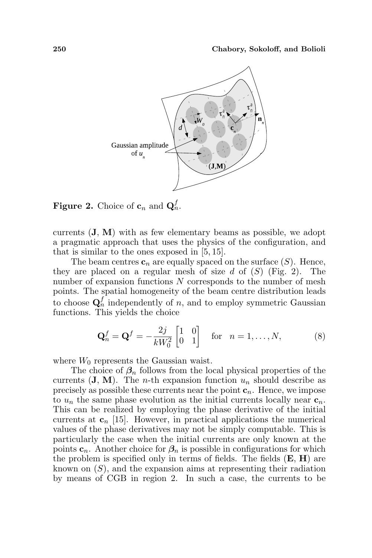

**Figure 2.** Choice of  $\mathbf{c}_n$  and  $\mathbf{Q}_n^f$ .

currents  $(\mathbf{J}, \mathbf{M})$  with as few elementary beams as possible, we adopt a pragmatic approach that uses the physics of the configuration, and that is similar to the ones exposed in [5, 15].

The beam centres  $c_n$  are equally spaced on the surface  $(S)$ . Hence, they are placed on a regular mesh of size d of  $(S)$  (Fig. 2). The number of expansion functions N corresponds to the number of mesh points. The spatial homogeneity of the beam centre distribution leads to choose  $\mathbf{Q}_n^f$  independently of n, and to employ symmetric Gaussian functions. This yields the choice

$$
\mathbf{Q}_n^f = \mathbf{Q}^f = -\frac{2j}{kW_0^2} \begin{bmatrix} 1 & 0 \\ 0 & 1 \end{bmatrix} \quad \text{for} \quad n = 1, \dots, N,
$$
 (8)

where  $W_0$  represents the Gaussian waist.

The choice of  $\beta_n$  follows from the local physical properties of the currents  $(\mathbf{J}, \mathbf{M})$ . The *n*-th expansion function  $u_n$  should describe as precisely as possible these currents near the point  $c_n$ . Hence, we impose to  $u_n$  the same phase evolution as the initial currents locally near  $c_n$ . This can be realized by employing the phase derivative of the initial currents at  $c_n$  [15]. However, in practical applications the numerical values of the phase derivatives may not be simply computable. This is particularly the case when the initial currents are only known at the points  $c_n$ . Another choice for  $\beta_n$  is possible in configurations for which the problem is specified only in terms of fields. The fields  $(E, H)$  are known on  $(S)$ , and the expansion aims at representing their radiation by means of CGB in region 2. In such a case, the currents to be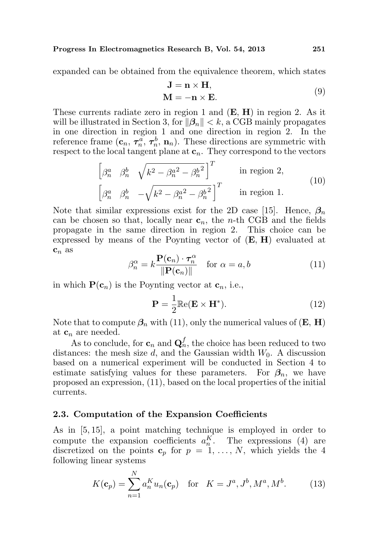expanded can be obtained from the equivalence theorem, which states

$$
J = n × H,\nM = -n × E.
$$
\n(9)

These currents radiate zero in region 1 and (E, H) in region 2. As it will be illustrated in Section 3, for  $\|\beta_n\| < k$ , a CGB mainly propagates in one direction in region 1 and one direction in region 2. In the reference frame  $(c_n, \tau_n^{\alpha}, \tau_n^b, n_n)$ . These directions are symmetric with respect to the local tangent plane at  $c_n$ . They correspond to the vectors

$$
\begin{bmatrix}\n\beta_n^a & \beta_n^b & \sqrt{k^2 - {\beta_n^a}^2 - {\beta_n^b}^2}\n\end{bmatrix}^T
$$
 in region 2,  
\n
$$
\begin{bmatrix}\n\beta_n^a & \beta_n^b & -\sqrt{k^2 - {\beta_n^a}^2 - {\beta_n^b}^2}\n\end{bmatrix}^T
$$
 in region 1. (10)

Note that similar expressions exist for the 2D case [15]. Hence,  $\beta_n$ can be chosen so that, locally near  $c_n$ , the *n*-th CGB and the fields propagate in the same direction in region 2. This choice can be expressed by means of the Poynting vector of (E, H) evaluated at  $\mathbf{c}_n$  as

$$
\beta_n^{\alpha} = k \frac{\mathbf{P}(\mathbf{c}_n) \cdot \boldsymbol{\tau}_n^{\alpha}}{\|\mathbf{P}(\mathbf{c}_n)\|} \quad \text{for } \alpha = a, b \tag{11}
$$

in which  $P(c_n)$  is the Poynting vector at  $c_n$ , i.e.,

$$
\mathbf{P} = \frac{1}{2} \mathbb{Re}(\mathbf{E} \times \mathbf{H}^*). \tag{12}
$$

Note that to compute  $\beta_n$  with (11), only the numerical values of  $(E, H)$ at  $c_n$  are needed.

As to conclude, for  $\mathbf{c}_n$  and  $\mathbf{Q}_n^f$ , the choice has been reduced to two distances: the mesh size  $d$ , and the Gaussian width  $W_0$ . A discussion based on a numerical experiment will be conducted in Section 4 to estimate satisfying values for these parameters. For  $\beta_n$ , we have proposed an expression, (11), based on the local properties of the initial currents.

#### 2.3. Computation of the Expansion Coefficients

As in [5, 15], a point matching technique is employed in order to compute the expansion coefficients  $a_n^K$ . The expressions (4) are discretized on the points  $\mathbf{c}_p$  for  $p = 1, \ldots, N$ , which yields the 4 following linear systems

$$
K(\mathbf{c}_p) = \sum_{n=1}^{N} a_n^K u_n(\mathbf{c}_p) \quad \text{for} \quad K = J^a, J^b, M^a, M^b. \tag{13}
$$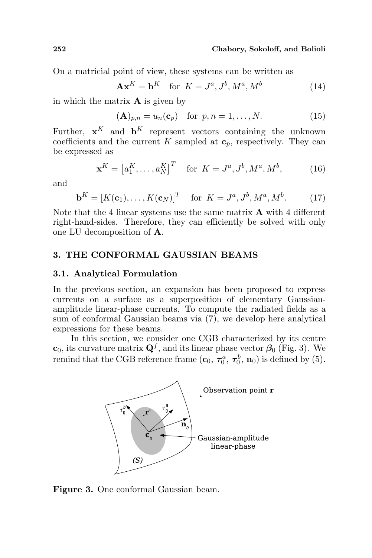On a matricial point of view, these systems can be written as

$$
\mathbf{A}\mathbf{x}^K = \mathbf{b}^K \quad \text{for } K = J^a, J^b, M^a, M^b \tag{14}
$$

in which the matrix  $\bf{A}$  is given by

$$
(\mathbf{A})_{p,n} = u_n(\mathbf{c}_p) \quad \text{for } p,n = 1,\ldots,N. \tag{15}
$$

Further,  $\mathbf{x}^K$  and  $\mathbf{b}^K$  represent vectors containing the unknown coefficients and the current K sampled at  $c_p$ , respectively. They can be expressed as

$$
\mathbf{x}^{K} = [a_1^{K}, \dots, a_N^{K}]^{T} \text{ for } K = J^a, J^b, M^a, M^b,
$$
 (16)

and

$$
\mathbf{b}^K = [K(\mathbf{c}_1), \dots, K(\mathbf{c}_N)]^T \quad \text{for } K = J^a, J^b, M^a, M^b. \tag{17}
$$

Note that the 4 linear systems use the same matrix  $\bf{A}$  with 4 different right-hand-sides. Therefore, they can efficiently be solved with only one LU decomposition of A.

# 3. THE CONFORMAL GAUSSIAN BEAMS

#### 3.1. Analytical Formulation

In the previous section, an expansion has been proposed to express currents on a surface as a superposition of elementary Gaussianamplitude linear-phase currents. To compute the radiated fields as a sum of conformal Gaussian beams via (7), we develop here analytical expressions for these beams.

In this section, we consider one CGB characterized by its centre  $\mathbf{c}_0$ , its curvature matrix  $\mathbf{Q}^f$ , and its linear phase vector  $\beta_0$  (Fig. 3). We remind that the CGB reference frame  $(c_0, \tau_0^a, \tau_0^b, n_0)$  is defined by (5).



Figure 3. One conformal Gaussian beam.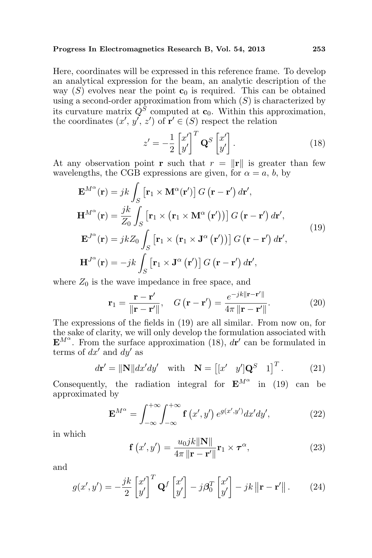Here, coordinates will be expressed in this reference frame. To develop an analytical expression for the beam, an analytic description of the way  $(S)$  evolves near the point  $c_0$  is required. This can be obtained using a second-order approximation from which  $(S)$  is characterized by its curvature matrix  $Q^S$  computed at  $\mathbf{c}_0$ . Within this approximation, the coordinates  $(x', y', z')$  of  $\mathbf{r}' \in (S)$  respect the relation

$$
z' = -\frac{1}{2} \begin{bmatrix} x' \\ y' \end{bmatrix}^T \mathbf{Q}^S \begin{bmatrix} x' \\ y' \end{bmatrix} . \tag{18}
$$

At any observation point **r** such that  $r = ||\mathbf{r}||$  is greater than few wavelengths, the CGB expressions are given, for  $\alpha = a, b$ , by

$$
\mathbf{E}^{M^{\alpha}}(\mathbf{r}) = jk \int_{S} \left[ \mathbf{r}_{1} \times \mathbf{M}^{\alpha}(\mathbf{r}') \right] G(\mathbf{r} - \mathbf{r}') d\mathbf{r}',
$$
\n
$$
\mathbf{H}^{M^{\alpha}}(\mathbf{r}) = \frac{jk}{Z_{0}} \int_{S} \left[ \mathbf{r}_{1} \times (\mathbf{r}_{1} \times \mathbf{M}^{\alpha}(\mathbf{r}')) \right] G(\mathbf{r} - \mathbf{r}') d\mathbf{r}',
$$
\n
$$
\mathbf{E}^{J^{\alpha}}(\mathbf{r}) = jk Z_{0} \int_{S} \left[ \mathbf{r}_{1} \times (\mathbf{r}_{1} \times \mathbf{J}^{\alpha}(\mathbf{r}')) \right] G(\mathbf{r} - \mathbf{r}') d\mathbf{r}',
$$
\n
$$
\mathbf{H}^{J^{\alpha}}(\mathbf{r}) = -jk \int_{S} \left[ \mathbf{r}_{1} \times \mathbf{J}^{\alpha}(\mathbf{r}') \right] G(\mathbf{r} - \mathbf{r}') d\mathbf{r}',
$$
\n(19)

where  $Z_0$  is the wave impedance in free space, and

$$
\mathbf{r}_1 = \frac{\mathbf{r} - \mathbf{r}'}{\|\mathbf{r} - \mathbf{r}'\|}, \quad G\left(\mathbf{r} - \mathbf{r}'\right) = \frac{e^{-jk\|\mathbf{r} - \mathbf{r}'\|}}{4\pi\|\mathbf{r} - \mathbf{r}'\|}. \tag{20}
$$

The expressions of the fields in (19) are all similar. From now on, for the sake of clarity, we will only develop the formulation associated with  $\mathbf{E}^{M^{\alpha}}$ . From the surface approximation (18),  $d\mathbf{r}'$  can be formulated in terms of  $dx'$  and  $dy'$  as

$$
d\mathbf{r}' = \|\mathbf{N}\|dx'dy'\quad\text{with}\quad \mathbf{N} = \begin{bmatrix} [x' & y']\mathbf{Q}^S & 1 \end{bmatrix}^T.
$$
 (21)

Consequently, the radiation integral for  $\mathbf{E}^{M^{\alpha}}$  in (19) can be approximated by

$$
\mathbf{E}^{M^{\alpha}} = \int_{-\infty}^{+\infty} \int_{-\infty}^{+\infty} \mathbf{f}\left(x',y'\right) e^{g(x',y')} dx'dy', \tag{22}
$$

in which

$$
\mathbf{f}\left(x',y'\right) = \frac{u_0 j k \|\mathbf{N}\|}{4\pi \|\mathbf{r} - \mathbf{r}'\|} \mathbf{r}_1 \times \boldsymbol{\tau}^\alpha,\tag{23}
$$

and

$$
g(x', y') = -\frac{jk}{2} \begin{bmatrix} x' \\ y' \end{bmatrix}^T \mathbf{Q}^f \begin{bmatrix} x' \\ y' \end{bmatrix} - j\beta_0^T \begin{bmatrix} x' \\ y' \end{bmatrix} - jk \|\mathbf{r} - \mathbf{r}'\|.
$$
 (24)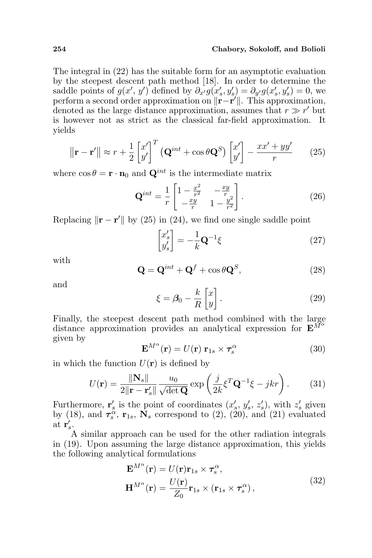#### 254 Chabory, Sokoloff, and Bolioli

The integral in (22) has the suitable form for an asymptotic evaluation by the steepest descent path method [18]. In order to determine the saddle points of  $g(x', y')$  defined by  $\partial_{x'} g(x', y') = \partial_{y'} g(x', y') = 0$ , we perform a second order approximation on  $\|\mathbf{r} - \mathbf{r}'\|$ . This approximation, denoted as the large distance approximation, assumes that  $r \gg r'$  but is however not as strict as the classical far-field approximation. It yields

$$
\|\mathbf{r} - \mathbf{r}'\| \approx r + \frac{1}{2} \begin{bmatrix} x' \\ y' \end{bmatrix}^T \left( \mathbf{Q}^{int} + \cos \theta \mathbf{Q}^S \right) \begin{bmatrix} x' \\ y' \end{bmatrix} - \frac{xx' + yy'}{r}
$$
 (25)

where  $\cos \theta = \mathbf{r} \cdot \mathbf{n}_0$  and  $\mathbf{Q}^{int}$  is the intermediate matrix " #

$$
\mathbf{Q}^{int} = \frac{1}{r} \begin{bmatrix} 1 - \frac{x^2}{r^2} & -\frac{xy}{r} \\ -\frac{xy}{r} & 1 - \frac{y^2}{r^2} \end{bmatrix} . \tag{26}
$$

Replacing  $\|\mathbf{r} - \mathbf{r}'\|$  by (25) in (24), we find one single saddle point ·

$$
\begin{bmatrix} x'_s \\ y'_s \end{bmatrix} = -\frac{1}{k} \mathbf{Q}^{-1} \xi
$$
 (27)

with

$$
\mathbf{Q} = \mathbf{Q}^{int} + \mathbf{Q}^{f} + \cos\theta \mathbf{Q}^{S},
$$
 (28)

and

$$
\xi = \beta_0 - \frac{k}{R} \begin{bmatrix} x \\ y \end{bmatrix} . \tag{29}
$$

Finally, the steepest descent path method combined with the large distance approximation provides an analytical expression for  $\mathbf{E}^{\tilde{M}^{\alpha}}$ given by

$$
\mathbf{E}^{M^{\alpha}}(\mathbf{r}) = U(\mathbf{r}) \mathbf{r}_{1s} \times \boldsymbol{\tau}_s^{\alpha} \tag{30}
$$

in which the function  $U(\mathbf{r})$  is defined by

$$
U(\mathbf{r}) = \frac{\|\mathbf{N}_s\|}{2\|\mathbf{r} - \mathbf{r}_s'\|} \frac{u_0}{\sqrt{\det \mathbf{Q}}} \exp\left(\frac{j}{2k} \xi^T \mathbf{Q}^{-1} \xi - jkr\right). \tag{31}
$$

Furthermore,  $\mathbf{r}'_s$  is the point of coordinates  $(x'_s, y'_s, z'_s)$ , with  $z'_s$  given by (18), and  $\tau_s^{\alpha}$ ,  $\mathbf{r}_{1s}$ ,  $\mathbf{N}_s$  correspond to (2), (20), and (21) evaluated at  $\mathbf{r}'_s$ .

A similar approach can be used for the other radiation integrals in (19). Upon assuming the large distance approximation, this yields the following analytical formulations

$$
\mathbf{E}^{M^{\alpha}}(\mathbf{r}) = U(\mathbf{r})\mathbf{r}_{1s} \times \boldsymbol{\tau}_s^{\alpha},
$$
  

$$
\mathbf{H}^{M^{\alpha}}(\mathbf{r}) = \frac{U(\mathbf{r})}{Z_0}\mathbf{r}_{1s} \times (\mathbf{r}_{1s} \times \boldsymbol{\tau}_s^{\alpha}),
$$
(32)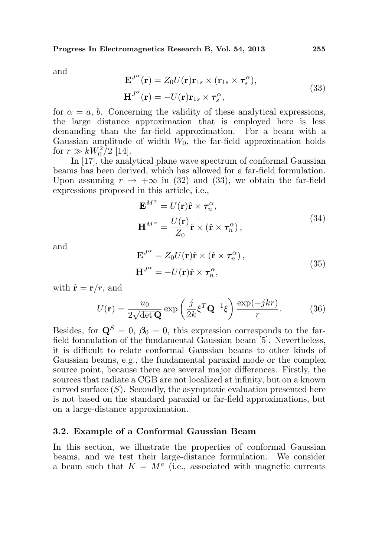and

$$
\mathbf{E}^{J^{\alpha}}(\mathbf{r}) = Z_0 U(\mathbf{r}) \mathbf{r}_{1s} \times (\mathbf{r}_{1s} \times \boldsymbol{\tau}_s^{\alpha}),
$$
  
\n
$$
\mathbf{H}^{J^{\alpha}}(\mathbf{r}) = -U(\mathbf{r}) \mathbf{r}_{1s} \times \boldsymbol{\tau}_s^{\alpha},
$$
\n(33)

for  $\alpha = a, b$ . Concerning the validity of these analytical expressions, the large distance approximation that is employed here is less demanding than the far-field approximation. For a beam with a Gaussian amplitude of width  $W_0$ , the far-field approximation holds for  $r \gg kW_0^2/2$  [14].

In [17], the analytical plane wave spectrum of conformal Gaussian beams has been derived, which has allowed for a far-field formulation. Upon assuming  $r \to +\infty$  in (32) and (33), we obtain the far-field expressions proposed in this article, i.e.,

$$
\mathbf{E}^{M^{\alpha}} = U(\mathbf{r})\hat{\mathbf{r}} \times \boldsymbol{\tau}_{n}^{\alpha},
$$
  

$$
\mathbf{H}^{M^{\alpha}} = \frac{U(\mathbf{r})}{Z_{0}}\hat{\mathbf{r}} \times (\hat{\mathbf{r}} \times \boldsymbol{\tau}_{n}^{\alpha}),
$$
 (34)

and

$$
\mathbf{E}^{J^{\alpha}} = Z_0 U(\mathbf{r}) \hat{\mathbf{r}} \times (\hat{\mathbf{r}} \times \boldsymbol{\tau}_n^{\alpha}),
$$
  
\n
$$
\mathbf{H}^{J^{\alpha}} = -U(\mathbf{r}) \hat{\mathbf{r}} \times \boldsymbol{\tau}_n^{\alpha},
$$
\n(35)

with  $\hat{\mathbf{r}} = \mathbf{r}/r$ , and

$$
U(\mathbf{r}) = \frac{u_0}{2\sqrt{\det \mathbf{Q}}} \exp\left(\frac{j}{2k} \xi^T \mathbf{Q}^{-1} \xi\right) \frac{\exp(-jkr)}{r}.
$$
 (36)

Besides, for  $\mathbf{Q}^{S} = 0$ ,  $\beta_0 = 0$ , this expression corresponds to the farfield formulation of the fundamental Gaussian beam [5]. Nevertheless, it is difficult to relate conformal Gaussian beams to other kinds of Gaussian beams, e.g., the fundamental paraxial mode or the complex source point, because there are several major differences. Firstly, the sources that radiate a CGB are not localized at infinity, but on a known curved surface  $(S)$ . Secondly, the asymptotic evaluation presented here is not based on the standard paraxial or far-field approximations, but on a large-distance approximation.

#### 3.2. Example of a Conformal Gaussian Beam

In this section, we illustrate the properties of conformal Gaussian beams, and we test their large-distance formulation. We consider a beam such that  $K = M^a$  (i.e., associated with magnetic currents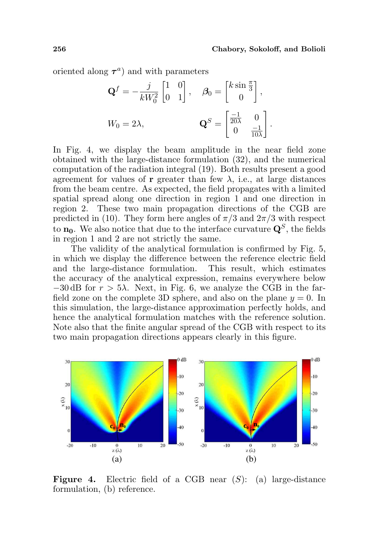oriented along  $\tau^a$ ) and with parameters

$$
\mathbf{Q}^{f} = -\frac{j}{kW_0^2} \begin{bmatrix} 1 & 0 \\ 0 & 1 \end{bmatrix}, \quad \mathbf{\beta}_0 = \begin{bmatrix} k \sin \frac{\pi}{3} \\ 0 \end{bmatrix},
$$

$$
W_0 = 2\lambda, \qquad \qquad \mathbf{Q}^{S} = \begin{bmatrix} \frac{-1}{20\lambda} & 0 \\ 0 & \frac{-1}{10\lambda} \end{bmatrix}.
$$

In Fig. 4, we display the beam amplitude in the near field zone obtained with the large-distance formulation (32), and the numerical computation of the radiation integral (19). Both results present a good agreement for values of **r** greater than few  $\lambda$ , i.e., at large distances from the beam centre. As expected, the field propagates with a limited spatial spread along one direction in region 1 and one direction in region 2. These two main propagation directions of the CGB are predicted in (10). They form here angles of  $\pi/3$  and  $2\pi/3$  with respect to  $\mathbf{n_0}$ . We also notice that due to the interface curvature  $\mathbf{Q}^S$ , the fields in region 1 and 2 are not strictly the same.

The validity of the analytical formulation is confirmed by Fig. 5, in which we display the difference between the reference electric field and the large-distance formulation. This result, which estimates the accuracy of the analytical expression, remains everywhere below  $-30$  dB for  $r > 5\lambda$ . Next, in Fig. 6, we analyze the CGB in the farfield zone on the complete 3D sphere, and also on the plane  $y = 0$ . In this simulation, the large-distance approximation perfectly holds, and hence the analytical formulation matches with the reference solution. Note also that the finite angular spread of the CGB with respect to its two main propagation directions appears clearly in this figure.



**Figure 4.** Electric field of a CGB near  $(S)$ : (a) large-distance formulation, (b) reference.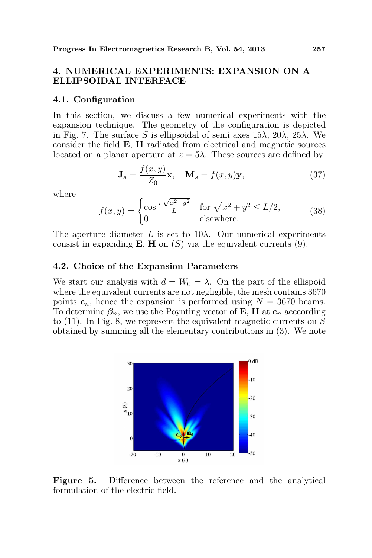# 4. NUMERICAL EXPERIMENTS: EXPANSION ON A ELLIPSOIDAL INTERFACE

#### 4.1. Configuration

In this section, we discuss a few numerical experiments with the expansion technique. The geometry of the configuration is depicted in Fig. 7. The surface S is ellipsoidal of semi axes  $15\lambda$ ,  $20\lambda$ ,  $25\lambda$ . We consider the field E, H radiated from electrical and magnetic sources located on a planar aperture at  $z = 5\lambda$ . These sources are defined by

$$
\mathbf{J}_s = \frac{f(x, y)}{Z_0} \mathbf{x}, \quad \mathbf{M}_s = f(x, y) \mathbf{y}, \tag{37}
$$

where

$$
f(x,y) = \begin{cases} \cos\frac{\pi\sqrt{x^2+y^2}}{L} & \text{for } \sqrt{x^2+y^2} \le L/2, \\ 0 & \text{elsewhere.} \end{cases}
$$
(38)

The aperture diameter  $L$  is set to  $10\lambda$ . Our numerical experiments consist in expanding **E**, **H** on  $(S)$  via the equivalent currents  $(9)$ .

#### 4.2. Choice of the Expansion Parameters

We start our analysis with  $d = W_0 = \lambda$ . On the part of the ellispoid where the equivalent currents are not negligible, the mesh contains 3670 points  $c_n$ , hence the expansion is performed using  $N = 3670$  beams. To determine  $\beta_n$ , we use the Poynting vector of **E**, **H** at  $c_n$  acccording to  $(11)$ . In Fig. 8, we represent the equivalent magnetic currents on S obtained by summing all the elementary contributions in (3). We note



Figure 5. Difference between the reference and the analytical formulation of the electric field.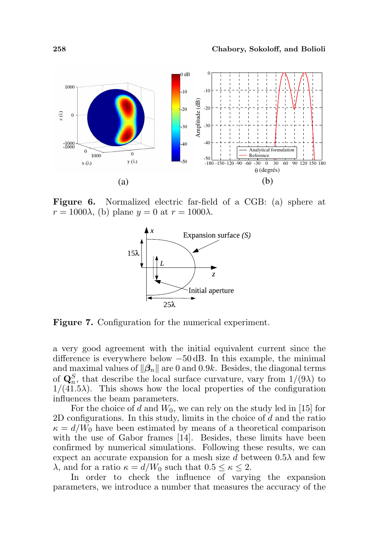

Figure 6. Normalized electric far-field of a CGB: (a) sphere at  $r = 1000\lambda$ , (b) plane  $y = 0$  at  $r = 1000\lambda$ .



Figure 7. Configuration for the numerical experiment.

a very good agreement with the initial equivalent current since the difference is everywhere below −50 dB. In this example, the minimal and maximal values of  $\|\beta_n\|$  are 0 and 0.9k. Besides, the diagonal terms of  $\mathbf{Q}_n^S$ , that describe the local surface curvature, vary from  $1/(9\lambda)$  to  $1/(41.5\lambda)$ . This shows how the local properties of the configuration influences the beam parameters.

For the choice of d and  $W_0$ , we can rely on the study led in [15] for 2D configurations. In this study, limits in the choice of d and the ratio  $\kappa = d/W_0$  have been estimated by means of a theoretical comparison with the use of Gabor frames [14]. Besides, these limits have been confirmed by numerical simulations. Following these results, we can expect an accurate expansion for a mesh size d between  $0.5\lambda$  and few  $\lambda$ , and for a ratio  $\kappa = d/W_0$  such that  $0.5 \leq \kappa \leq 2$ .

In order to check the influence of varying the expansion parameters, we introduce a number that measures the accuracy of the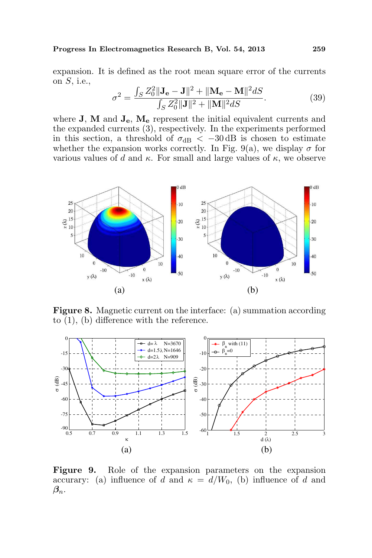expansion. It is defined as the root mean square error of the currents on  $S$ , i.e., R

$$
\sigma^2 = \frac{\int_S Z_0^2 \|\mathbf{J}_\mathbf{e} - \mathbf{J}\|^2 + \|\mathbf{M}_\mathbf{e} - \mathbf{M}\|^2 dS}{\int_S Z_0^2 \|\mathbf{J}\|^2 + \|\mathbf{M}\|^2 dS}.
$$
 (39)

where  $J$ ,  $M$  and  $J_e$ ,  $M_e$  represent the initial equivalent currents and the expanded currents (3), respectively. In the experiments performed in this section, a threshold of  $\sigma_{dB} < -30$  dB is chosen to estimate whether the expansion works correctly. In Fig. 9(a), we display  $\sigma$  for various values of d and  $\kappa$ . For small and large values of  $\kappa$ , we observe



Figure 8. Magnetic current on the interface: (a) summation according to (1), (b) difference with the reference.



Figure 9. Role of the expansion parameters on the expansion accurary: (a) influence of d and  $\kappa = d/W_0$ , (b) influence of d and  $\beta_n$ .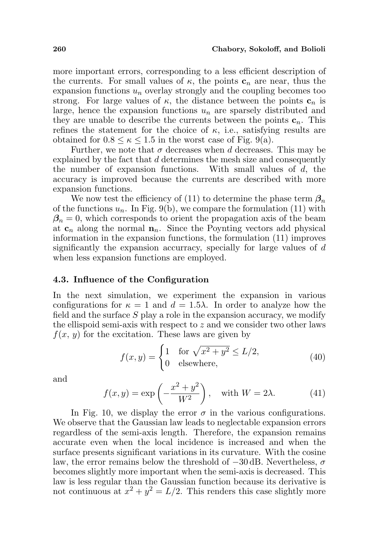more important errors, corresponding to a less efficient description of the currents. For small values of  $\kappa$ , the points  $c_n$  are near, thus the expansion functions  $u_n$  overlay strongly and the coupling becomes too strong. For large values of  $\kappa$ , the distance between the points  $\mathbf{c}_n$  is large, hence the expansion functions  $u_n$  are sparsely distributed and they are unable to describe the currents between the points  $c_n$ . This refines the statement for the choice of  $\kappa$ , i.e., satisfying results are obtained for  $0.8 \leq \kappa \leq 1.5$  in the worst case of Fig. 9(a).

Further, we note that  $\sigma$  decreases when d decreases. This may be explained by the fact that d determines the mesh size and consequently the number of expansion functions. With small values of d, the accuracy is improved because the currents are described with more expansion functions.

We now test the efficiency of (11) to determine the phase term  $\beta_n$ of the functions  $u_n$ . In Fig. 9(b), we compare the formulation (11) with  $\beta_n = 0$ , which corresponds to orient the propagation axis of the beam at  $c_n$  along the normal  $n_n$ . Since the Poynting vectors add physical information in the expansion functions, the formulation (11) improves significantly the expansion accurracy, specially for large values of d when less expansion functions are employed.

### 4.3. Influence of the Configuration

In the next simulation, we experiment the expansion in various configurations for  $\kappa = 1$  and  $d = 1.5\lambda$ . In order to analyze how the field and the surface  $S$  play a role in the expansion accuracy, we modify the ellispoid semi-axis with respect to  $z$  and we consider two other laws  $f(x, y)$  for the excitation. These laws are given by

$$
f(x,y) = \begin{cases} 1 & \text{for } \sqrt{x^2 + y^2} \le L/2, \\ 0 & \text{elsewhere,} \end{cases}
$$
(40)

and

$$
f(x,y) = \exp\left(-\frac{x^2 + y^2}{W^2}\right), \quad \text{with } W = 2\lambda.
$$
 (41)

In Fig. 10, we display the error  $\sigma$  in the various configurations. We observe that the Gaussian law leads to neglectable expansion errors regardless of the semi-axis length. Therefore, the expansion remains accurate even when the local incidence is increased and when the surface presents significant variations in its curvature. With the cosine law, the error remains below the threshold of  $-30$  dB. Nevertheless,  $\sigma$ becomes slightly more important when the semi-axis is decreased. This law is less regular than the Gaussian function because its derivative is not continuous at  $x^2 + y^2 = L/2$ . This renders this case slightly more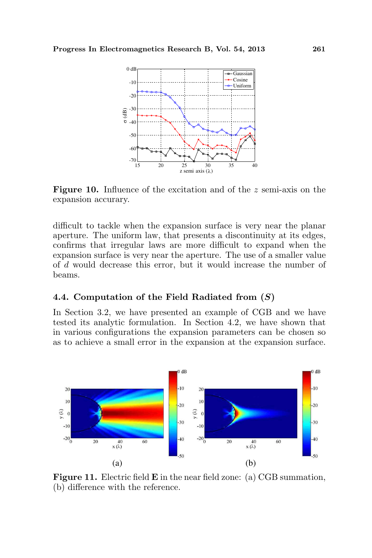

Figure 10. Influence of the excitation and of the z semi-axis on the expansion accurary.

difficult to tackle when the expansion surface is very near the planar aperture. The uniform law, that presents a discontinuity at its edges, confirms that irregular laws are more difficult to expand when the expansion surface is very near the aperture. The use of a smaller value of d would decrease this error, but it would increase the number of beams.

# 4.4. Computation of the Field Radiated from (S)

In Section 3.2, we have presented an example of CGB and we have tested its analytic formulation. In Section 4.2, we have shown that in various configurations the expansion parameters can be chosen so as to achieve a small error in the expansion at the expansion surface.



Figure 11. Electric field **E** in the near field zone: (a) CGB summation, (b) difference with the reference.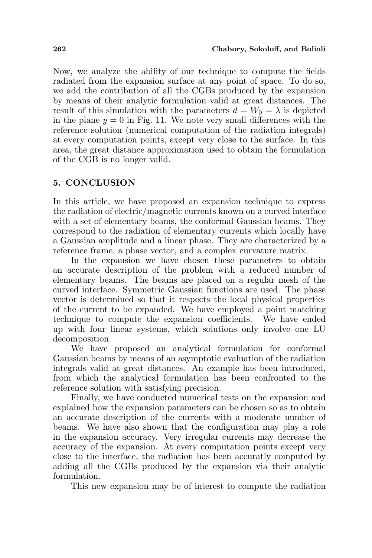Now, we analyze the ability of our technique to compute the fields radiated from the expansion surface at any point of space. To do so, we add the contribution of all the CGBs produced by the expansion by means of their analytic formulation valid at great distances. The result of this simulation with the parameters  $d = W_0 = \lambda$  is depicted in the plane  $y = 0$  in Fig. 11. We note very small differences with the reference solution (numerical computation of the radiation integrals) at every computation points, except very close to the surface. In this area, the great distance approximation used to obtain the formulation of the CGB is no longer valid.

### 5. CONCLUSION

In this article, we have proposed an expansion technique to express the radiation of electric/magnetic currents known on a curved interface with a set of elementary beams, the conformal Gaussian beams. They correspond to the radiation of elementary currents which locally have a Gaussian amplitude and a linear phase. They are characterized by a reference frame, a phase vector, and a complex curvature matrix.

In the expansion we have chosen these parameters to obtain an accurate description of the problem with a reduced number of elementary beams. The beams are placed on a regular mesh of the curved interface. Symmetric Gaussian functions are used. The phase vector is determined so that it respects the local physical properties of the current to be expanded. We have employed a point matching technique to compute the expansion coefficients. We have ended up with four linear systems, which solutions only involve one LU decomposition.

We have proposed an analytical formulation for conformal Gaussian beams by means of an asymptotic evaluation of the radiation integrals valid at great distances. An example has been introduced, from which the analytical formulation has been confronted to the reference solution with satisfying precision.

Finally, we have conducted numerical tests on the expansion and explained how the expansion parameters can be chosen so as to obtain an accurate description of the currents with a moderate number of beams. We have also shown that the configuration may play a role in the expansion accuracy. Very irregular currents may decrease the accuracy of the expansion. At every computation points except very close to the interface, the radiation has been accuratly computed by adding all the CGBs produced by the expansion via their analytic formulation.

This new expansion may be of interest to compute the radiation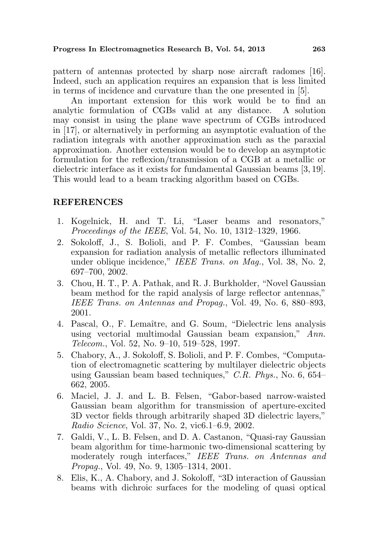pattern of antennas protected by sharp nose aircraft radomes [16]. Indeed, such an application requires an expansion that is less limited in terms of incidence and curvature than the one presented in [5].

An important extension for this work would be to find an analytic formulation of CGBs valid at any distance. A solution may consist in using the plane wave spectrum of CGBs introduced in [17], or alternatively in performing an asymptotic evaluation of the radiation integrals with another approximation such as the paraxial approximation. Another extension would be to develop an asymptotic formulation for the reflexion/transmission of a CGB at a metallic or dielectric interface as it exists for fundamental Gaussian beams [3, 19]. This would lead to a beam tracking algorithm based on CGBs.

### REFERENCES

- 1. Kogelnick, H. and T. Li, "Laser beams and resonators," Proceedings of the IEEE, Vol. 54, No. 10, 1312–1329, 1966.
- 2. Sokoloff, J., S. Bolioli, and P. F. Combes, "Gaussian beam expansion for radiation analysis of metallic reflectors illuminated under oblique incidence," IEEE Trans. on Mag., Vol. 38, No. 2, 697–700, 2002.
- 3. Chou, H. T., P. A. Pathak, and R. J. Burkholder, "Novel Gaussian beam method for the rapid analysis of large reflector antennas," IEEE Trans. on Antennas and Propag., Vol. 49, No. 6, 880–893, 2001.
- 4. Pascal, O., F. Lemaˆıtre, and G. Soum, "Dielectric lens analysis using vectorial multimodal Gaussian beam expansion," Ann. Telecom., Vol. 52, No. 9–10, 519–528, 1997.
- 5. Chabory, A., J. Sokoloff, S. Bolioli, and P. F. Combes, "Computation of electromagnetic scattering by multilayer dielectric objects using Gaussian beam based techniques," C.R. Phys., No. 6, 654– 662, 2005.
- 6. Maciel, J. J. and L. B. Felsen, "Gabor-based narrow-waisted Gaussian beam algorithm for transmission of aperture-excited 3D vector fields through arbitrarily shaped 3D dielectric layers," Radio Science, Vol. 37, No. 2, vic6.1–6.9, 2002.
- 7. Galdi, V., L. B. Felsen, and D. A. Castanon, "Quasi-ray Gaussian beam algorithm for time-harmonic two-dimensional scattering by moderately rough interfaces," IEEE Trans. on Antennas and Propag., Vol. 49, No. 9, 1305–1314, 2001.
- 8. Elis, K., A. Chabory, and J. Sokoloff, "3D interaction of Gaussian beams with dichroic surfaces for the modeling of quasi optical